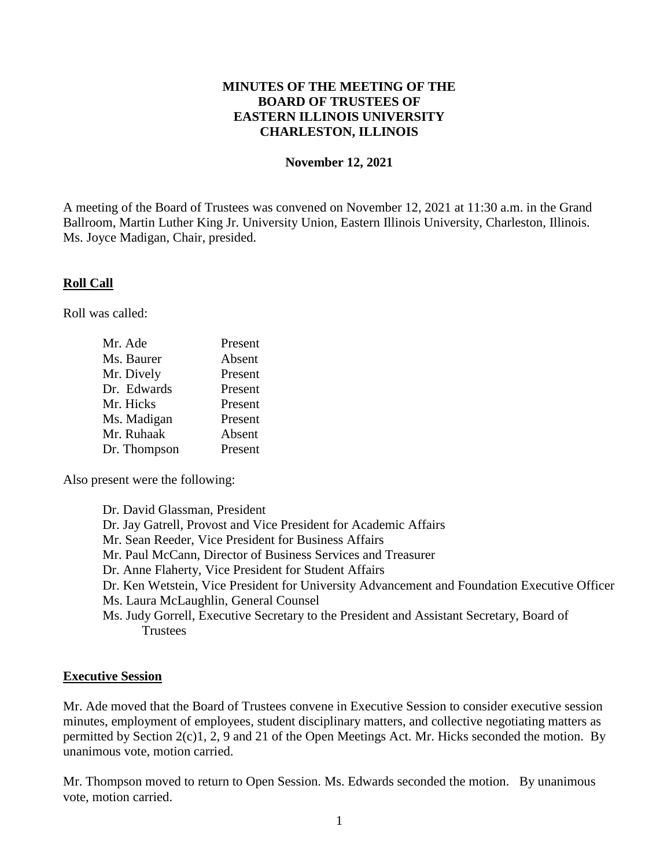### **MINUTES OF THE MEETING OF THE BOARD OF TRUSTEES OF EASTERN ILLINOIS UNIVERSITY CHARLESTON, ILLINOIS**

#### **November 12, 2021**

A meeting of the Board of Trustees was convened on November 12, 2021 at 11:30 a.m. in the Grand Ballroom, Martin Luther King Jr. University Union, Eastern Illinois University, Charleston, Illinois. Ms. Joyce Madigan, Chair, presided.

### **Roll Call**

Roll was called:

| Mr. Ade      | Present |
|--------------|---------|
| Ms. Baurer   | Absent  |
| Mr. Dively   | Present |
| Dr. Edwards  | Present |
| Mr. Hicks    | Present |
| Ms. Madigan  | Present |
| Mr. Ruhaak   | Absent  |
| Dr. Thompson | Present |

Also present were the following:

Dr. David Glassman, President Dr. Jay Gatrell, Provost and Vice President for Academic Affairs Mr. Sean Reeder, Vice President for Business Affairs Mr. Paul McCann, Director of Business Services and Treasurer Dr. Anne Flaherty, Vice President for Student Affairs Dr. Ken Wetstein, Vice President for University Advancement and Foundation Executive Officer Ms. Laura McLaughlin, General Counsel Ms. Judy Gorrell, Executive Secretary to the President and Assistant Secretary, Board of **Trustees** 

#### **Executive Session**

Mr. Ade moved that the Board of Trustees convene in Executive Session to consider executive session minutes, employment of employees, student disciplinary matters, and collective negotiating matters as permitted by Section 2(c)1, 2, 9 and 21 of the Open Meetings Act. Mr. Hicks seconded the motion. By unanimous vote, motion carried.

Mr. Thompson moved to return to Open Session. Ms. Edwards seconded the motion. By unanimous vote, motion carried.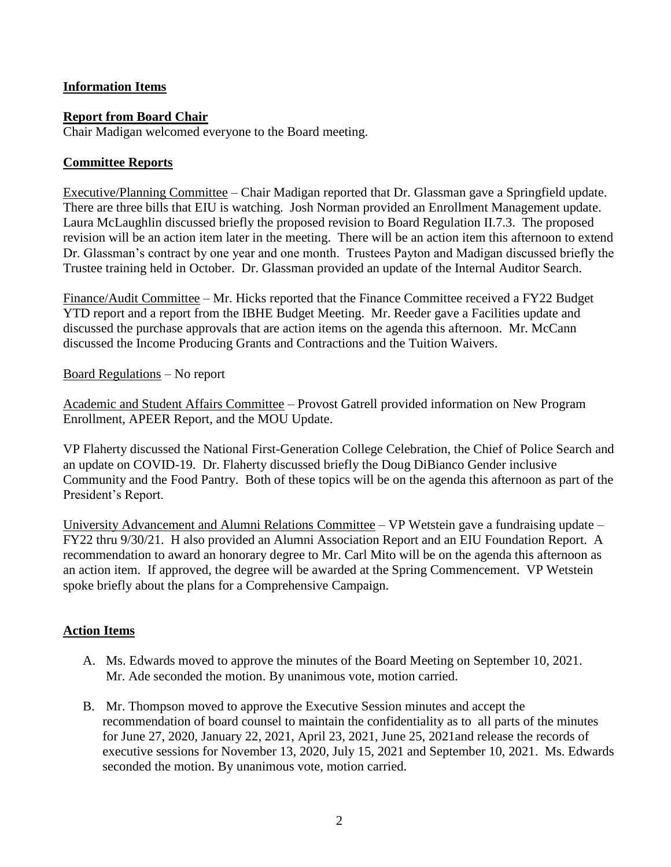## **Information Items**

### **Report from Board Chair**

Chair Madigan welcomed everyone to the Board meeting.

## **Committee Reports**

Executive/Planning Committee – Chair Madigan reported that Dr. Glassman gave a Springfield update. There are three bills that EIU is watching. Josh Norman provided an Enrollment Management update. Laura McLaughlin discussed briefly the proposed revision to Board Regulation II.7.3. The proposed revision will be an action item later in the meeting. There will be an action item this afternoon to extend Dr. Glassman's contract by one year and one month. Trustees Payton and Madigan discussed briefly the Trustee training held in October. Dr. Glassman provided an update of the Internal Auditor Search.

Finance/Audit Committee – Mr. Hicks reported that the Finance Committee received a FY22 Budget YTD report and a report from the IBHE Budget Meeting. Mr. Reeder gave a Facilities update and discussed the purchase approvals that are action items on the agenda this afternoon. Mr. McCann discussed the Income Producing Grants and Contractions and the Tuition Waivers.

Board Regulations – No report

Academic and Student Affairs Committee – Provost Gatrell provided information on New Program Enrollment, APEER Report, and the MOU Update.

VP Flaherty discussed the National First-Generation College Celebration, the Chief of Police Search and an update on COVID-19. Dr. Flaherty discussed briefly the Doug DiBianco Gender inclusive Community and the Food Pantry. Both of these topics will be on the agenda this afternoon as part of the President's Report.

University Advancement and Alumni Relations Committee – VP Wetstein gave a fundraising update – FY22 thru 9/30/21. H also provided an Alumni Association Report and an EIU Foundation Report. A recommendation to award an honorary degree to Mr. Carl Mito will be on the agenda this afternoon as an action item. If approved, the degree will be awarded at the Spring Commencement. VP Wetstein spoke briefly about the plans for a Comprehensive Campaign.

#### **Action Items**

- A. Ms. Edwards moved to approve the minutes of the Board Meeting on September 10, 2021. Mr. Ade seconded the motion. By unanimous vote, motion carried.
- B. Mr. Thompson moved to approve the Executive Session minutes and accept the recommendation of board counsel to maintain the confidentiality as to all parts of the minutes for June 27, 2020, January 22, 2021, April 23, 2021, June 25, 2021and release the records of executive sessions for November 13, 2020, July 15, 2021 and September 10, 2021. Ms. Edwards seconded the motion. By unanimous vote, motion carried.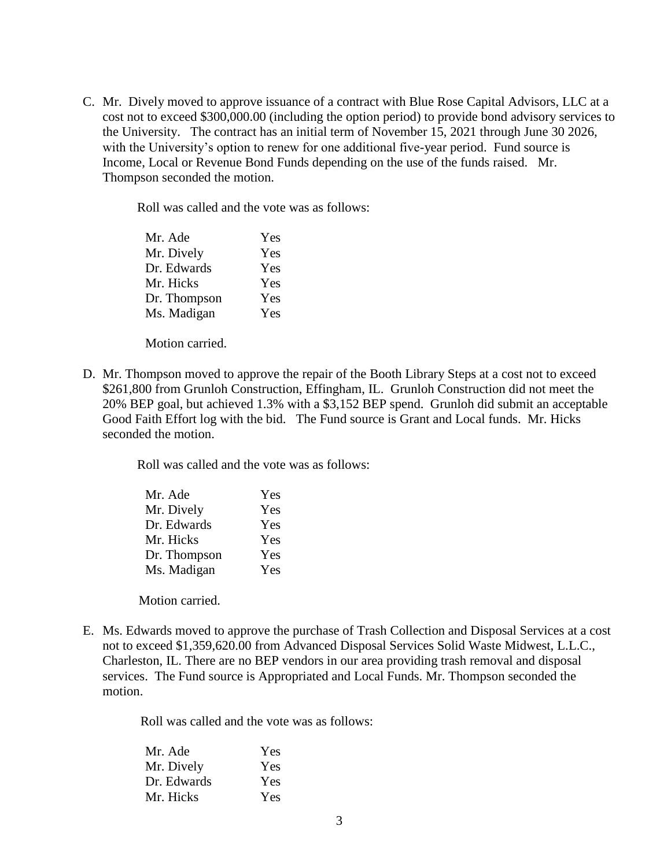C. Mr. Dively moved to approve issuance of a contract with Blue Rose Capital Advisors, LLC at a cost not to exceed \$300,000.00 (including the option period) to provide bond advisory services to the University. The contract has an initial term of November 15, 2021 through June 30 2026, with the University's option to renew for one additional five-year period. Fund source is Income, Local or Revenue Bond Funds depending on the use of the funds raised. Mr. Thompson seconded the motion.

Roll was called and the vote was as follows:

| Mr. Ade      | Yes |
|--------------|-----|
| Mr. Dively   | Yes |
| Dr. Edwards  | Yes |
| Mr. Hicks    | Yes |
| Dr. Thompson | Yes |
| Ms. Madigan  | Yes |
|              |     |

Motion carried.

D. Mr. Thompson moved to approve the repair of the Booth Library Steps at a cost not to exceed \$261,800 from Grunloh Construction, Effingham, IL. Grunloh Construction did not meet the 20% BEP goal, but achieved 1.3% with a \$3,152 BEP spend. Grunloh did submit an acceptable Good Faith Effort log with the bid. The Fund source is Grant and Local funds. Mr. Hicks seconded the motion.

Roll was called and the vote was as follows:

| Mr. Ade      | Yes |
|--------------|-----|
| Mr. Dively   | Yes |
| Dr. Edwards  | Yes |
| Mr. Hicks    | Yes |
| Dr. Thompson | Yes |
| Ms. Madigan  | Yes |

Motion carried.

E. Ms. Edwards moved to approve the purchase of Trash Collection and Disposal Services at a cost not to exceed \$1,359,620.00 from Advanced Disposal Services Solid Waste Midwest, L.L.C., Charleston, IL. There are no BEP vendors in our area providing trash removal and disposal services. The Fund source is Appropriated and Local Funds. Mr. Thompson seconded the motion.

Roll was called and the vote was as follows:

| Mr. Ade     | Yes |
|-------------|-----|
| Mr. Dively  | Yes |
| Dr. Edwards | Yes |
| Mr. Hicks   | Yes |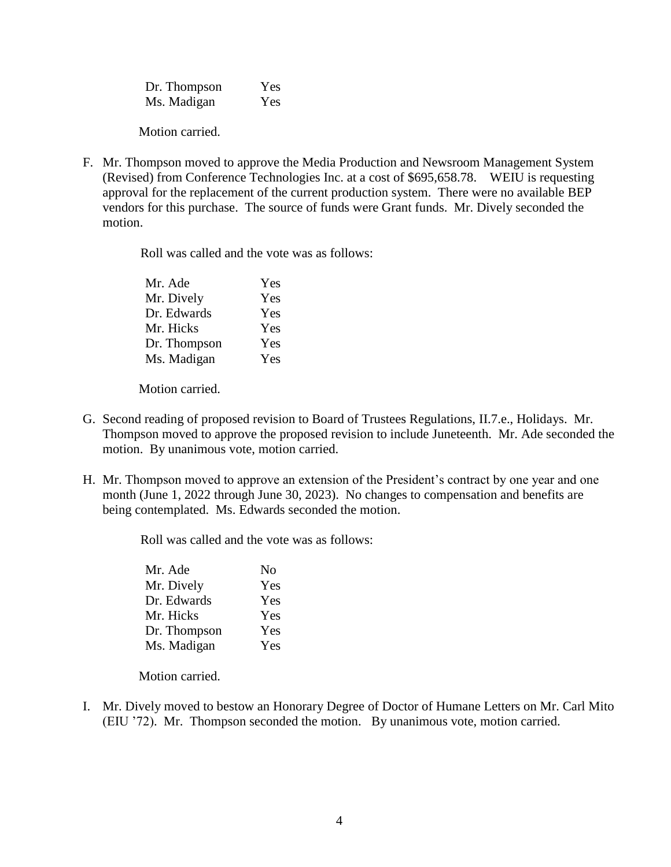Dr. Thompson Yes Ms. Madigan Yes

Motion carried.

F. Mr. Thompson moved to approve the Media Production and Newsroom Management System (Revised) from Conference Technologies Inc. at a cost of \$695,658.78. WEIU is requesting approval for the replacement of the current production system. There were no available BEP vendors for this purchase. The source of funds were Grant funds. Mr. Dively seconded the motion.

Roll was called and the vote was as follows:

| Mr. Ade      | Yes |
|--------------|-----|
| Mr. Dively   | Yes |
| Dr. Edwards  | Yes |
| Mr. Hicks    | Yes |
| Dr. Thompson | Yes |
| Ms. Madigan  | Yes |

Motion carried.

- G. Second reading of proposed revision to Board of Trustees Regulations, II.7.e., Holidays. Mr. Thompson moved to approve the proposed revision to include Juneteenth. Mr. Ade seconded the motion. By unanimous vote, motion carried.
- H. Mr. Thompson moved to approve an extension of the President's contract by one year and one month (June 1, 2022 through June 30, 2023). No changes to compensation and benefits are being contemplated. Ms. Edwards seconded the motion.

Roll was called and the vote was as follows:

| Mr. Ade      | N <sub>0</sub> |
|--------------|----------------|
| Mr. Dively   | Yes            |
| Dr. Edwards  | Yes            |
| Mr. Hicks    | Yes            |
| Dr. Thompson | Yes            |
| Ms. Madigan  | Yes            |

Motion carried.

I. Mr. Dively moved to bestow an Honorary Degree of Doctor of Humane Letters on Mr. Carl Mito (EIU '72). Mr. Thompson seconded the motion. By unanimous vote, motion carried.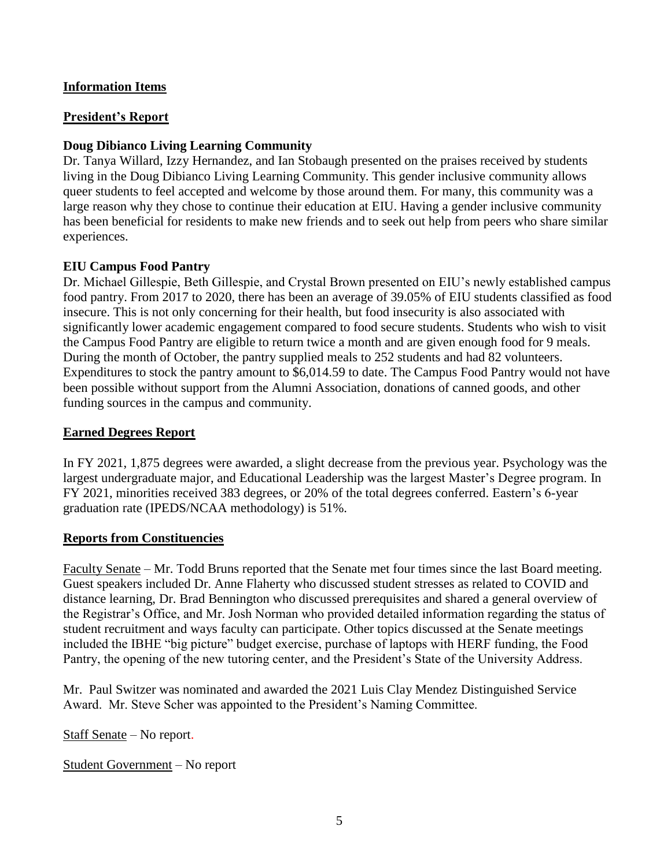## **Information Items**

### **President's Report**

## **Doug Dibianco Living Learning Community**

Dr. Tanya Willard, Izzy Hernandez, and Ian Stobaugh presented on the praises received by students living in the Doug Dibianco Living Learning Community. This gender inclusive community allows queer students to feel accepted and welcome by those around them. For many, this community was a large reason why they chose to continue their education at EIU. Having a gender inclusive community has been beneficial for residents to make new friends and to seek out help from peers who share similar experiences.

### **EIU Campus Food Pantry**

Dr. Michael Gillespie, Beth Gillespie, and Crystal Brown presented on EIU's newly established campus food pantry. From 2017 to 2020, there has been an average of 39.05% of EIU students classified as food insecure. This is not only concerning for their health, but food insecurity is also associated with significantly lower academic engagement compared to food secure students. Students who wish to visit the Campus Food Pantry are eligible to return twice a month and are given enough food for 9 meals. During the month of October, the pantry supplied meals to 252 students and had 82 volunteers. Expenditures to stock the pantry amount to \$6,014.59 to date. The Campus Food Pantry would not have been possible without support from the Alumni Association, donations of canned goods, and other funding sources in the campus and community.

## **Earned Degrees Report**

In FY 2021, 1,875 degrees were awarded, a slight decrease from the previous year. Psychology was the largest undergraduate major, and Educational Leadership was the largest Master's Degree program. In FY 2021, minorities received 383 degrees, or 20% of the total degrees conferred. Eastern's 6-year graduation rate (IPEDS/NCAA methodology) is 51%.

#### **Reports from Constituencies**

Faculty Senate – Mr. Todd Bruns reported that the Senate met four times since the last Board meeting. Guest speakers included Dr. Anne Flaherty who discussed student stresses as related to COVID and distance learning, Dr. Brad Bennington who discussed prerequisites and shared a general overview of the Registrar's Office, and Mr. Josh Norman who provided detailed information regarding the status of student recruitment and ways faculty can participate. Other topics discussed at the Senate meetings included the IBHE "big picture" budget exercise, purchase of laptops with HERF funding, the Food Pantry, the opening of the new tutoring center, and the President's State of the University Address.

Mr. Paul Switzer was nominated and awarded the 2021 Luis Clay Mendez Distinguished Service Award. Mr. Steve Scher was appointed to the President's Naming Committee.

Staff Senate – No report.

Student Government – No report